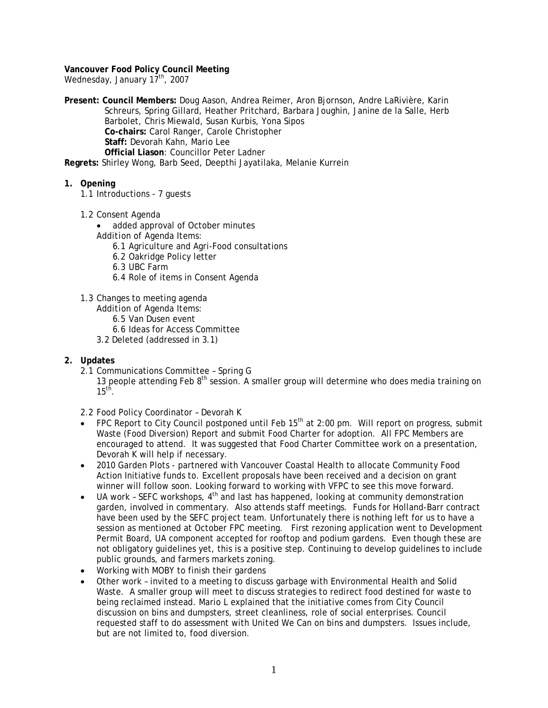**Vancouver Food Policy Council Meeting**  Wednesday, January 17<sup>th</sup>, 2007

**Present: Council Members:** Doug Aason, Andrea Reimer, Aron Bjornson, Andre LaRivière, Karin Schreurs, Spring Gillard, Heather Pritchard, Barbara Joughin, Janine de la Salle, Herb Barbolet, Chris Miewald, Susan Kurbis, Yona Sipos **Co-chairs:** Carol Ranger, Carole Christopher **Staff:** Devorah Kahn, Mario Lee **Official Liason**: Councillor Peter Ladner

**Regrets:** Shirley Wong, Barb Seed, Deepthi Jayatilaka, Melanie Kurrein

- **1. Opening**
	- 1.1 Introductions 7 guests
	- 1.2 Consent Agenda
		- added approval of October minutes
		- *Addition of Agenda Items:*
			- 6.1 Agriculture and Agri-Food consultations
			- 6.2 Oakridge Policy letter
			- 6.3 UBC Farm
			- 6.4 Role of items in Consent Agenda
	- 1.3 Changes to meeting agenda
		- *Addition of Agenda Items:* 
			- 6.5 Van Dusen event
			- 6.6 Ideas for Access Committee
		- 3.2 Deleted (addressed in 3.1)

# **2. Updates**

- 2.1 Communications Committee Spring G
	- 13 people attending Feb  $8<sup>th</sup>$  session. A smaller group will determine who does media training on  $15<sup>th</sup>$ .

2.2 Food Policy Coordinator – Devorah K

- FPC Report to City Council postponed until Feb 15<sup>th</sup> at 2:00 pm. Will report on progress, submit Waste (Food Diversion) Report and submit Food Charter for adoption. All FPC Members are encouraged to attend. It was suggested that Food Charter Committee work on a presentation, Devorah K will help if necessary.
- 2010 Garden Plots partnered with Vancouver Coastal Health to allocate Community Food Action Initiative funds to. Excellent proposals have been received and a decision on grant winner will follow soon. Looking forward to working with VFPC to see this move forward.
- UA work SEFC workshops,  $4<sup>th</sup>$  and last has happened, looking at community demonstration garden, involved in commentary. Also attends staff meetings. Funds for Holland-Barr contract have been used by the SEFC project team. Unfortunately there is nothing left for us to have a session as mentioned at October FPC meeting. First rezoning application went to Development Permit Board, UA component accepted for rooftop and podium gardens. Even though these are not obligatory guidelines yet, this is a positive step. Continuing to develop guidelines to include public grounds, and farmers markets zoning.
- Working with MOBY to finish their gardens
- Other work invited to a meeting to discuss garbage with Environmental Health and Solid Waste. A smaller group will meet to discuss strategies to redirect food destined for waste to being reclaimed instead. Mario L explained that the initiative comes from City Council discussion on bins and dumpsters, street cleanliness, role of social enterprises. Council requested staff to do assessment with *United We Can* on bins and dumpsters. Issues include, but are not limited to, food diversion.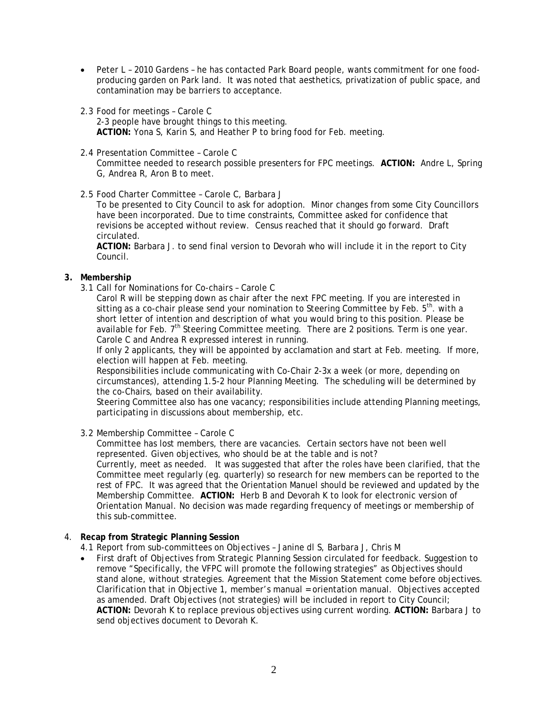- Peter L 2010 Gardens he has contacted Park Board people, wants commitment for one foodproducing garden on Park land. It was noted that aesthetics, privatization of public space, and contamination may be barriers to acceptance.
- 2.3 Food for meetings Carole C

2-3 people have brought things to this meeting. **ACTION:** Yona S, Karin S, and Heather P to bring food for Feb. meeting.

- 2.4 Presentation Committee Carole C Committee needed to research possible presenters for FPC meetings. **ACTION:** Andre L, Spring G, Andrea R, Aron B to meet.
- 2.5 Food Charter Committee Carole C, Barbara J

To be presented to City Council to ask for adoption. Minor changes from some City Councillors have been incorporated. Due to time constraints, Committee asked for confidence that revisions be accepted without review. Census reached that it should go forward. Draft circulated.

**ACTION:** Barbara J. to send final version to Devorah who will include it in the report to City Council.

## **3. Membership**

3.1 Call for Nominations for Co-chairs – Carole C

Carol R will be stepping down as chair after the next FPC meeting. If you are interested in sitting as a co-chair please send your nomination to Steering Committee by Feb.  $5<sup>th</sup>$ . with a short letter of intention and description of what you would bring to this position. Please be available for Feb.  $7<sup>th</sup>$  Steering Committee meeting. There are 2 positions. Term is one year. Carole C and Andrea R expressed interest in running.

If only 2 applicants, they will be appointed by acclamation and start at Feb. meeting. If more, election will happen at Feb. meeting.

Responsibilities include communicating with Co-Chair 2-3x a week (or more, depending on circumstances), attending 1.5-2 hour Planning Meeting. The scheduling will be determined by the co-Chairs, based on their availability.

Steering Committee also has one vacancy; responsibilities include attending Planning meetings, participating in discussions about membership, etc.

3.2 Membership Committee – Carole C

Committee has lost members, there are vacancies. Certain sectors have not been well represented. Given objectives, who should be at the table and is not?

Currently, meet as needed. It was suggested that after the roles have been clarified, that the Committee meet regularly (eg. quarterly) so research for new members can be reported to the rest of FPC. It was agreed that the Orientation Manuel should be reviewed and updated by the Membership Committee. **ACTION:** Herb B and Devorah K to look for electronic version of Orientation Manual. No decision was made regarding frequency of meetings or membership of this sub-committee.

4. **Recap from Strategic Planning Session**

4.1 Report from sub-committees on Objectives – Janine dl S, Barbara J, Chris M

• First draft of Objectives from Strategic Planning Session circulated for feedback. Suggestion to remove "Specifically, the VFPC will promote the following strategies" as Objectives should stand alone, without strategies. Agreement that the Mission Statement come before objectives. Clarification that in Objective 1, member's manual = orientation manual. Objectives accepted as amended. Draft Objectives (not strategies) will be included in report to City Council; **ACTION:** Devorah K to replace previous objectives using current wording. **ACTION:** Barbara J to send objectives document to Devorah K.